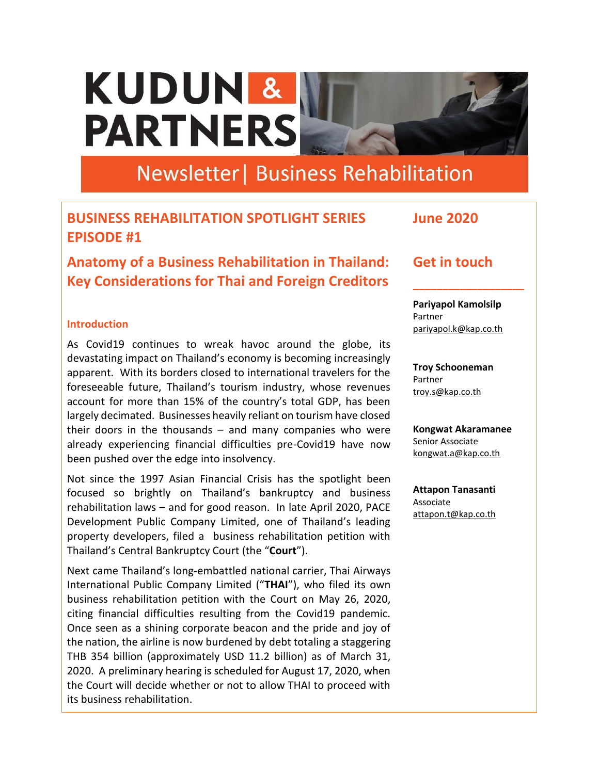# KUDUN & **PARTNERS**

## **Newsletter | Business Rehabilitation**

### **BUSINESS REHABILITATION SPOTLIGHT SERIES EPISODE #1**

**Anatomy of a Business Rehabilitation in Thailand: Key Considerations for Thai and Foreign Creditors**

#### **Introduction**

As Covid19 continues to wreak havoc around the globe, its devastating impact on Thailand's economy is becoming increasingly apparent. With its borders closed to international travelers for the foreseeable future, Thailand's tourism industry, whose revenues account for more than 15% of the country's total GDP, has been largely decimated. Businesses heavily reliant on tourism have closed their doors in the thousands  $-$  and many companies who were already experiencing financial difficulties pre-Covid19 have now been pushed over the edge into insolvency.

Not since the 1997 Asian Financial Crisis has the spotlight been focused so brightly on Thailand's bankruptcy and business rehabilitation laws – and for good reason. In late April 2020, PACE Development Public Company Limited, one of Thailand's leading property developers, filed a business rehabilitation petition with Thailand's Central Bankruptcy Court (the "**Court**").

Next came Thailand's long-embattled national carrier, Thai Airways International Public Company Limited ("**THAI**"), who filed its own business rehabilitation petition with the Court on May 26, 2020, citing financial difficulties resulting from the Covid19 pandemic. Once seen as a shining corporate beacon and the pride and joy of the nation, the airline is now burdened by debt totaling a staggering THB 354 billion (approximately USD 11.2 billion) as of March 31, 2020. A preliminary hearing is scheduled for August 17, 2020, when the Court will decide whether or not to allow THAI to proceed with its business rehabilitation.

**Get in touch**

**June 2020**

**\_\_\_\_\_\_\_\_\_\_\_\_\_\_\_\_\_\_\_ Pariyapol Kamolsilp** Partner

[pariyapol.k@kap.co.th](mailto:pariyapol.k@kap.co.th)

**Troy Schooneman** Partner [troy.s@kap.co.th](mailto:troy.s@kap.co.th)

**Kongwat Akaramanee** Senior Associate [kongwat.a@kap.co.th](mailto:kongwat.a@kap.co.th)

**Attapon Tanasanti** Associate [attapon.t@kap.co.th](mailto:attapon.t@kap.co.th)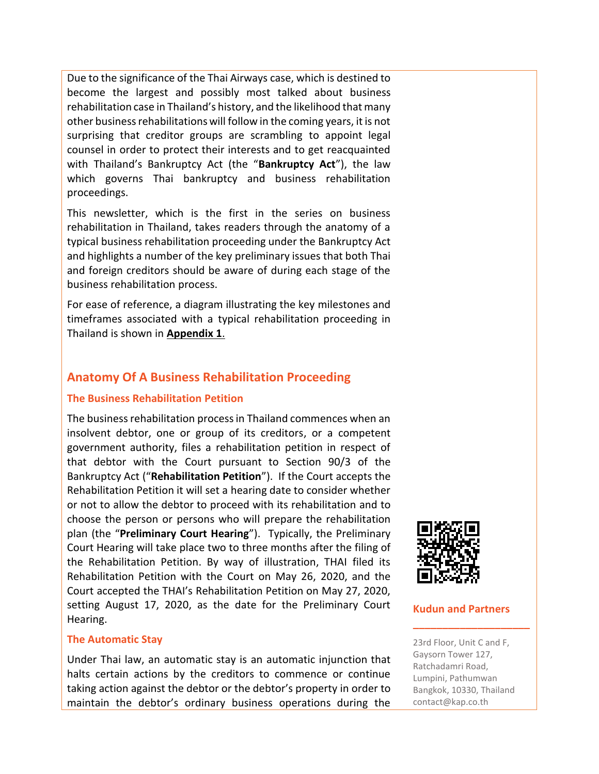Due to the significance of the Thai Airways case, which is destined to become the largest and possibly most talked about business rehabilitation case in Thailand's history, and the likelihood that many other business rehabilitations will follow in the coming years, it is not surprising that creditor groups are scrambling to appoint legal counsel in order to protect their interests and to get reacquainted with Thailand's Bankruptcy Act (the "**Bankruptcy Act**"), the law which governs Thai bankruptcy and business rehabilitation proceedings.

This newsletter, which is the first in the series on business rehabilitation in Thailand, takes readers through the anatomy of a typical business rehabilitation proceeding under the Bankruptcy Act and highlights a number of the key preliminary issues that both Thai and foreign creditors should be aware of during each stage of the business rehabilitation process.

For ease of reference, a diagram illustrating the key milestones and timeframes associated with a typical rehabilitation proceeding in Thailand is shown in **[Appendix 1](#page-7-0)**.

#### **Anatomy Of A Business Rehabilitation Proceeding**

#### **The Business Rehabilitation Petition**

The business rehabilitation process in Thailand commences when an insolvent debtor, one or group of its creditors, or a competent government authority, files a rehabilitation petition in respect of that debtor with the Court pursuant to Section 90/3 of the Bankruptcy Act ("**Rehabilitation Petition**"). If the Court accepts the Rehabilitation Petition it will set a hearing date to consider whether or not to allow the debtor to proceed with its rehabilitation and to choose the person or persons who will prepare the rehabilitation plan (the "**Preliminary Court Hearing**"). Typically, the Preliminary Court Hearing will take place two to three months after the filing of the Rehabilitation Petition. By way of illustration, THAI filed its Rehabilitation Petition with the Court on May 26, 2020, and the Court accepted the THAI's Rehabilitation Petition on May 27, 2020, setting August 17, 2020, as the date for the Preliminary Court Hearing.

#### **The Automatic Stay**

Under Thai law, an automatic stay is an automatic injunction that halts certain actions by the creditors to commence or continue taking action against the debtor or the debtor's property in order to maintain the debtor's ordinary business operations during the



#### **Kudun and Partners**

**\_\_\_\_\_\_\_\_\_\_\_\_\_\_\_\_\_\_\_\_**

23rd Floor, Unit C and F, Gaysorn Tower 127, Ratchadamri Road, Lumpini, Pathumwan Bangkok, 10330, Thailand contact@kap.co.th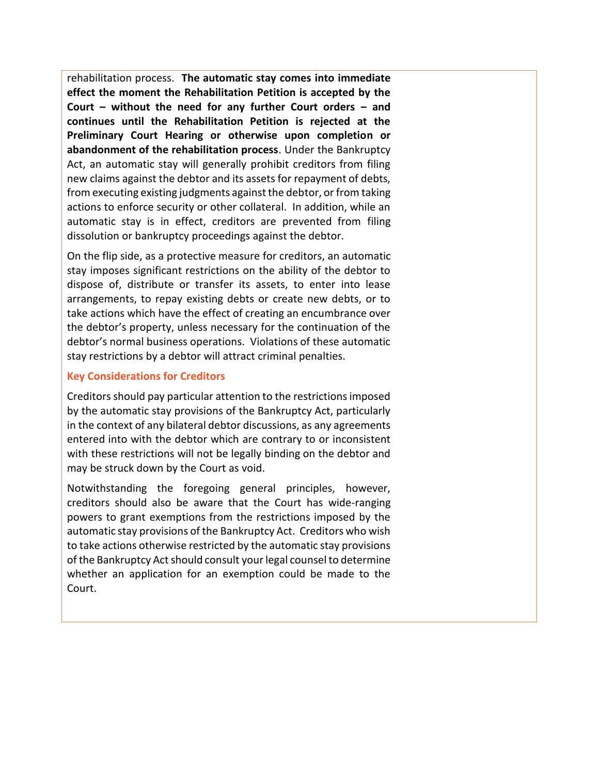rehabilitation process. **The automatic stay comes into immediate effect the moment the Rehabilitation Petition is accepted by the Court – without the need for any further Court orders – and continues until the Rehabilitation Petition is rejected at the Preliminary Court Hearing or otherwise upon completion or abandonment of the rehabilitation process**. Under the Bankruptcy Act, an automatic stay will generally prohibit creditors from filing new claims against the debtor and its assets for repayment of debts, from executing existing judgments against the debtor, or from taking actions to enforce security or other collateral. In addition, while an automatic stay is in effect, creditors are prevented from filing dissolution or bankruptcy proceedings against the debtor.

On the flip side, as a protective measure for creditors, an automatic stay imposes significant restrictions on the ability of the debtor to dispose of, distribute or transfer its assets, to enter into lease arrangements, to repay existing debts or create new debts, or to take actions which have the effect of creating an encumbrance over the debtor's property, unless necessary for the continuation of the debtor's normal business operations. Violations of these automatic stay restrictions by a debtor will attract criminal penalties.

#### **Key Considerations for Creditors**

Creditors should pay particular attention to the restrictions imposed by the automatic stay provisions of the Bankruptcy Act, particularly in the context of any bilateral debtor discussions, as any agreements entered into with the debtor which are contrary to or inconsistent with these restrictions will not be legally binding on the debtor and may be struck down by the Court as void.

Notwithstanding the foregoing general principles, however, creditors should also be aware that the Court has wide-ranging powers to grant exemptions from the restrictions imposed by the automatic stay provisions of the Bankruptcy Act. Creditors who wish to take actions otherwise restricted by the automatic stay provisions of the Bankruptcy Act should consult your legal counsel to determine whether an application for an exemption could be made to the Court.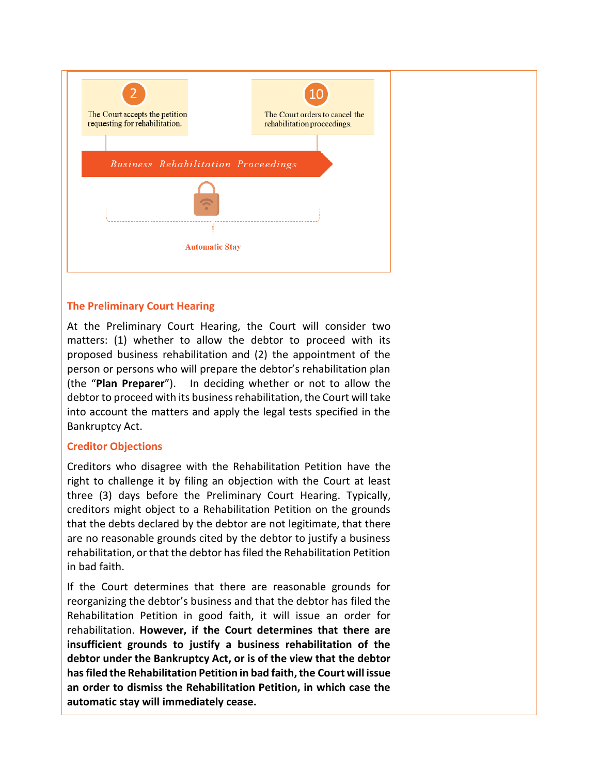

#### **The Preliminary Court Hearing**

At the Preliminary Court Hearing, the Court will consider two matters: (1) whether to allow the debtor to proceed with its proposed business rehabilitation and (2) the appointment of the person or persons who will prepare the debtor's rehabilitation plan (the "**Plan Preparer**"). In deciding whether or not to allow the debtor to proceed with its business rehabilitation, the Court will take into account the matters and apply the legal tests specified in the Bankruptcy Act.

#### **Creditor Objections**

Creditors who disagree with the Rehabilitation Petition have the right to challenge it by filing an objection with the Court at least three (3) days before the Preliminary Court Hearing. Typically, creditors might object to a Rehabilitation Petition on the grounds that the debts declared by the debtor are not legitimate, that there are no reasonable grounds cited by the debtor to justify a business rehabilitation, or that the debtor has filed the Rehabilitation Petition in bad faith.

If the Court determines that there are reasonable grounds for reorganizing the debtor's business and that the debtor has filed the Rehabilitation Petition in good faith, it will issue an order for rehabilitation. **However, if the Court determines that there are insufficient grounds to justify a business rehabilitation of the debtor under the Bankruptcy Act, or is of the view that the debtor has filed the Rehabilitation Petition in bad faith, the Court will issue an order to dismiss the Rehabilitation Petition, in which case the automatic stay will immediately cease.**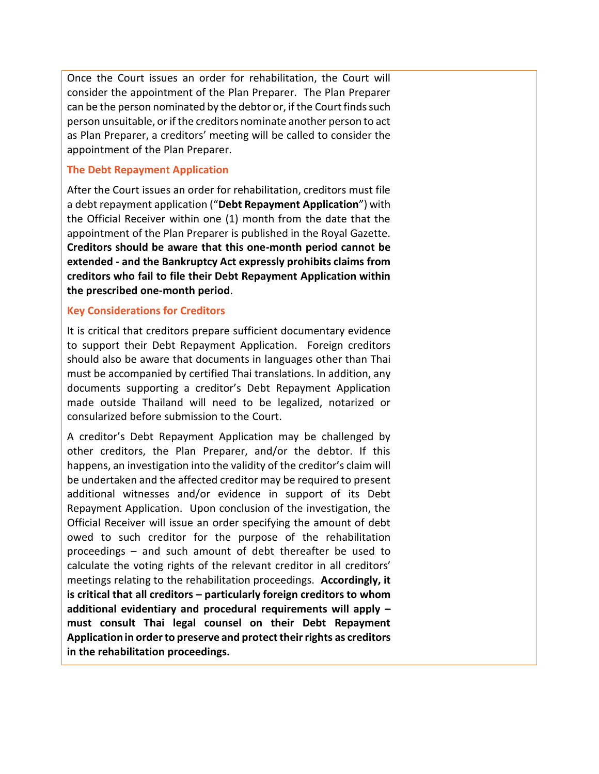Once the Court issues an order for rehabilitation, the Court will consider the appointment of the Plan Preparer. The Plan Preparer can be the person nominated by the debtor or, if the Court finds such person unsuitable, or if the creditors nominate another person to act as Plan Preparer, a creditors' meeting will be called to consider the appointment of the Plan Preparer.

#### **The Debt Repayment Application**

After the Court issues an order for rehabilitation, creditors must file a debt repayment application ("**Debt Repayment Application**") with the Official Receiver within one (1) month from the date that the appointment of the Plan Preparer is published in the Royal Gazette. **Creditors should be aware that this one-month period cannot be extended - and the Bankruptcy Act expressly prohibits claims from creditors who fail to file their Debt Repayment Application within the prescribed one-month period**.

#### **Key Considerations for Creditors**

It is critical that creditors prepare sufficient documentary evidence to support their Debt Repayment Application. Foreign creditors should also be aware that documents in languages other than Thai must be accompanied by certified Thai translations. In addition, any documents supporting a creditor's Debt Repayment Application made outside Thailand will need to be legalized, notarized or consularized before submission to the Court.

A creditor's Debt Repayment Application may be challenged by other creditors, the Plan Preparer, and/or the debtor. If this happens, an investigation into the validity of the creditor's claim will be undertaken and the affected creditor may be required to present additional witnesses and/or evidence in support of its Debt Repayment Application. Upon conclusion of the investigation, the Official Receiver will issue an order specifying the amount of debt owed to such creditor for the purpose of the rehabilitation proceedings – and such amount of debt thereafter be used to calculate the voting rights of the relevant creditor in all creditors' meetings relating to the rehabilitation proceedings. **Accordingly, it is critical that all creditors – particularly foreign creditors to whom additional evidentiary and procedural requirements will apply – must consult Thai legal counsel on their Debt Repayment Application in order to preserve and protect their rights as creditors in the rehabilitation proceedings.**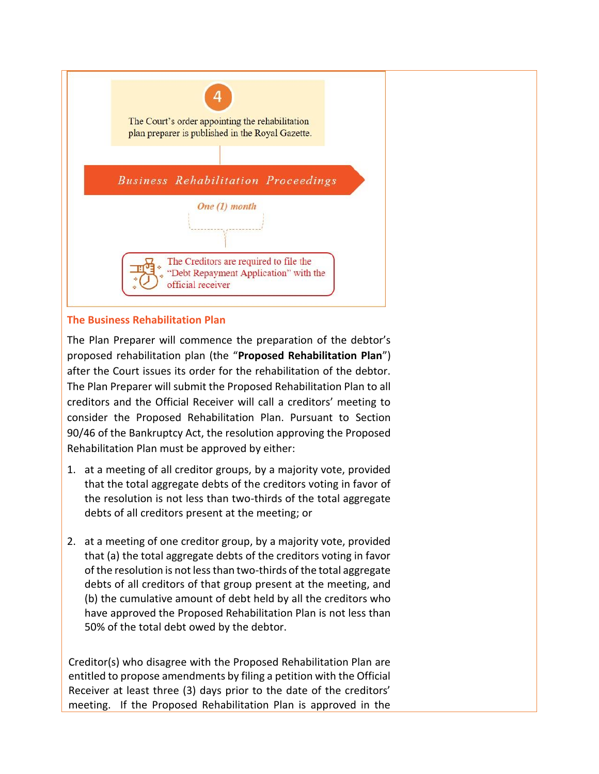

#### **The Business Rehabilitation Plan**

The Plan Preparer will commence the preparation of the debtor's proposed rehabilitation plan (the "**Proposed Rehabilitation Plan**") after the Court issues its order for the rehabilitation of the debtor. The Plan Preparer will submit the Proposed Rehabilitation Plan to all creditors and the Official Receiver will call a creditors' meeting to consider the Proposed Rehabilitation Plan. Pursuant to Section 90/46 of the Bankruptcy Act, the resolution approving the Proposed Rehabilitation Plan must be approved by either:

- 1. at a meeting of all creditor groups, by a majority vote, provided that the total aggregate debts of the creditors voting in favor of the resolution is not less than two-thirds of the total aggregate debts of all creditors present at the meeting; or
- 2. at a meeting of one creditor group, by a majority vote, provided that (a) the total aggregate debts of the creditors voting in favor of the resolution is not less than two-thirds of the total aggregate debts of all creditors of that group present at the meeting, and (b) the cumulative amount of debt held by all the creditors who have approved the Proposed Rehabilitation Plan is not less than 50% of the total debt owed by the debtor.

Creditor(s) who disagree with the Proposed Rehabilitation Plan are entitled to propose amendments by filing a petition with the Official Receiver at least three (3) days prior to the date of the creditors' meeting. If the Proposed Rehabilitation Plan is approved in the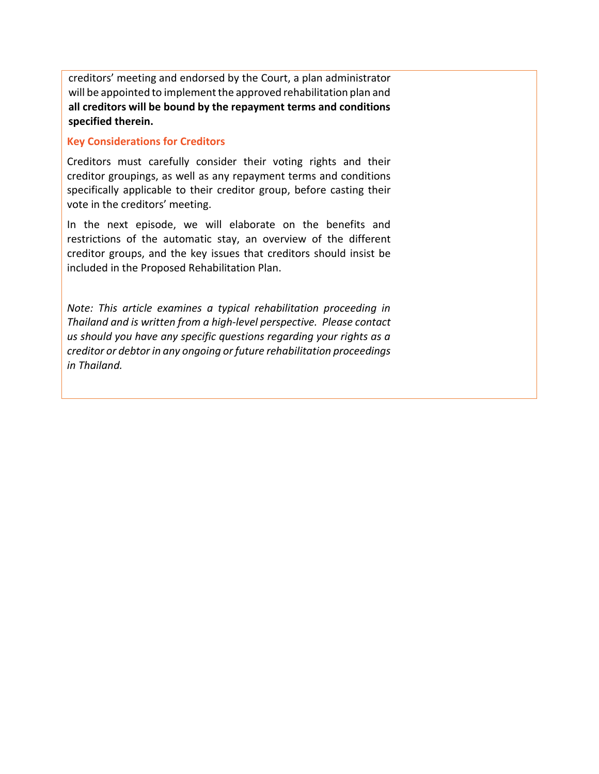creditors' meeting and endorsed by the Court, a plan administrator will be appointed to implement the approved rehabilitation plan and **all creditors will be bound by the repayment terms and conditions specified therein.**

#### **Key Considerations for Creditors**

Creditors must carefully consider their voting rights and their creditor groupings, as well as any repayment terms and conditions specifically applicable to their creditor group, before casting their vote in the creditors' meeting.

In the next episode, we will elaborate on the benefits and restrictions of the automatic stay, an overview of the different creditor groups, and the key issues that creditors should insist be included in the Proposed Rehabilitation Plan.

*Note: This article examines a typical rehabilitation proceeding in Thailand and is written from a high-level perspective. Please contact us should you have any specific questions regarding your rights as a creditor or debtor in any ongoing or future rehabilitation proceedings in Thailand.*